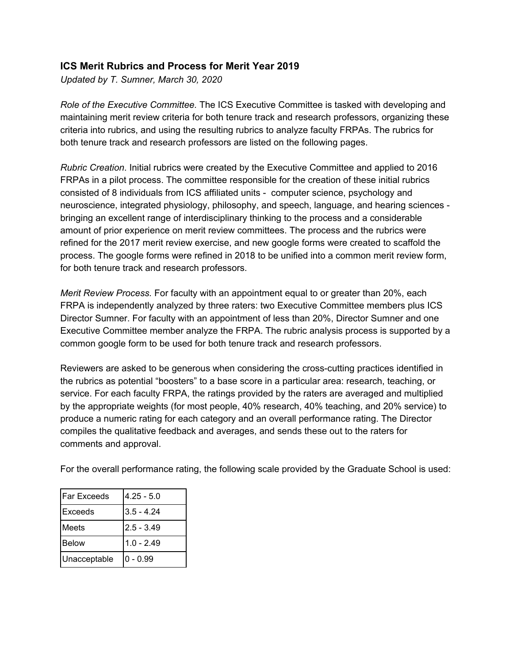#### **ICS Merit Rubrics and Process for Merit Year 2019**

*Updated by T. Sumner, March 30, 2020*

*Role of the Executive Committee.* The ICS Executive Committee is tasked with developing and maintaining merit review criteria for both tenure track and research professors, organizing these criteria into rubrics, and using the resulting rubrics to analyze faculty FRPAs. The rubrics for both tenure track and research professors are listed on the following pages.

*Rubric Creation*. Initial rubrics were created by the Executive Committee and applied to 2016 FRPAs in a pilot process. The committee responsible for the creation of these initial rubrics consisted of 8 individuals from ICS affiliated units - computer science, psychology and neuroscience, integrated physiology, philosophy, and speech, language, and hearing sciences bringing an excellent range of interdisciplinary thinking to the process and a considerable amount of prior experience on merit review committees. The process and the rubrics were refined for the 2017 merit review exercise, and new google forms were created to scaffold the process. The google forms were refined in 2018 to be unified into a common merit review form, for both tenure track and research professors.

*Merit Review Process.* For faculty with an appointment equal to or greater than 20%, each FRPA is independently analyzed by three raters: two Executive Committee members plus ICS Director Sumner. For faculty with an appointment of less than 20%, Director Sumner and one Executive Committee member analyze the FRPA. The rubric analysis process is supported by a common google form to be used for both tenure track and research professors.

Reviewers are asked to be generous when considering the cross-cutting practices identified in the rubrics as potential "boosters" to a base score in a particular area: research, teaching, or service. For each faculty FRPA, the ratings provided by the raters are averaged and multiplied by the appropriate weights (for most people, 40% research, 40% teaching, and 20% service) to produce a numeric rating for each category and an overall performance rating. The Director compiles the qualitative feedback and averages, and sends these out to the raters for comments and approval.

For the overall performance rating, the following scale provided by the Graduate School is used:

| lFar Exceeds | $4.25 - 5.0$ |
|--------------|--------------|
| lExceeds     | $3.5 - 4.24$ |
| Meets        | $2.5 - 3.49$ |
| Below        | $1.0 - 2.49$ |
| Unacceptable | $ 0 - 0.99$  |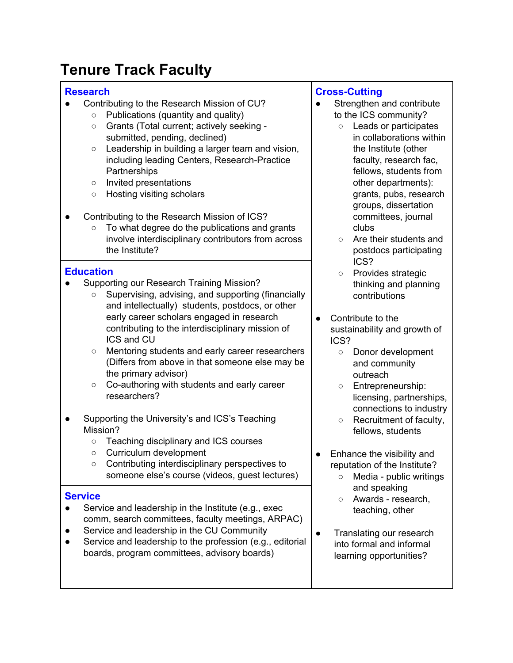# **Tenure Track Faculty**

# **Research**

- Contributing to the Research Mission of CU?
	- Publications (quantity and quality)
	- Grants (Total current; actively seeking submitted, pending, declined)
	- Leadership in building a larger team and vision, including leading Centers, Research-Practice **Partnerships**
	- Invited presentations
	- Hosting visiting scholars
- Contributing to the Research Mission of ICS?
	- To what degree do the publications and grants involve interdisciplinary contributors from across the Institute?

# **Education**

- Supporting our Research Training Mission?
	- Supervising, advising, and supporting (financially and intellectually) students, postdocs, or other early career scholars engaged in research contributing to the interdisciplinary mission of ICS and CU
	- Mentoring students and early career researchers (Differs from above in that someone else may be the primary advisor)
	- Co-authoring with students and early career researchers?
- Supporting the University's and ICS's Teaching Mission?
	- Teaching disciplinary and ICS courses
	- Curriculum development
	- Contributing interdisciplinary perspectives to someone else's course (videos, guest lectures)

### **Service**

- Service and leadership in the Institute (e.g., exec comm, search committees, faculty meetings, ARPAC)
- Service and leadership in the CU Community
- Service and leadership to the profession (e.g., editorial boards, program committees, advisory boards)

# **Cross-Cutting**

- Strengthen and contribute to the ICS community?
	- Leads or participates in collaborations within the Institute (other faculty, research fac, fellows, students from other departments): grants, pubs, research groups, dissertation committees, journal clubs
	- Are their students and postdocs participating ICS?
	- Provides strategic thinking and planning contributions
- Contribute to the sustainability and growth of ICS?
	- Donor development and community outreach
	- Entrepreneurship: licensing, partnerships, connections to industry
	- Recruitment of faculty, fellows, students
- Enhance the visibility and reputation of the Institute?
	- Media public writings and speaking
	- Awards research, teaching, other
- Translating our research into formal and informal learning opportunities?